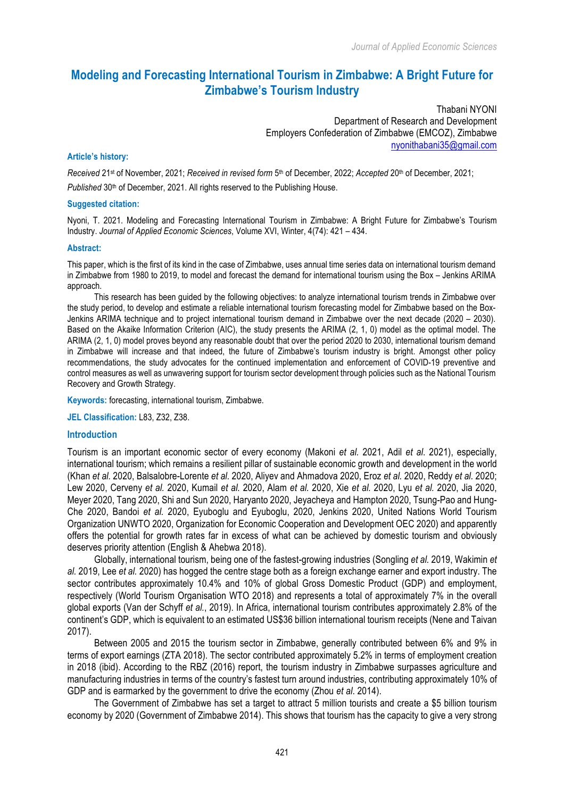# **Modeling and Forecasting International Tourism in Zimbabwe: A Bright Future for Zimbabwe's Tourism Industry**

Thabani NYONI Department of Research and Development Employers Confederation of Zimbabwe (EMCOZ), Zimbabwe nyonithabani35@gmail.com

#### **Article's history:**

*Received* 21st of November, 2021; *Received in revised form* 5th of December, 2022; *Accepted* 20th of December, 2021; *Published* 30<sup>th</sup> of December, 2021. All rights reserved to the Publishing House.

#### **Suggested citation:**

Nyoni, T. 2021. Modeling and Forecasting International Tourism in Zimbabwe: A Bright Future for Zimbabwe's Tourism Industry. *Journal of Applied Economic Sciences*, Volume XVI, Winter, 4(74): 421 – 434.

#### **Abstract:**

This paper, which is the first of its kind in the case of Zimbabwe, uses annual time series data on international tourism demand in Zimbabwe from 1980 to 2019, to model and forecast the demand for international tourism using the Box – Jenkins ARIMA approach.

This research has been guided by the following objectives: to analyze international tourism trends in Zimbabwe over the study period, to develop and estimate a reliable international tourism forecasting model for Zimbabwe based on the Box-Jenkins ARIMA technique and to project international tourism demand in Zimbabwe over the next decade (2020 – 2030). Based on the Akaike Information Criterion (AIC), the study presents the ARIMA (2, 1, 0) model as the optimal model. The ARIMA (2, 1, 0) model proves beyond any reasonable doubt that over the period 2020 to 2030, international tourism demand in Zimbabwe will increase and that indeed, the future of Zimbabwe's tourism industry is bright. Amongst other policy recommendations, the study advocates for the continued implementation and enforcement of COVID-19 preventive and control measures as well as unwavering support for tourism sector development through policies such as the National Tourism Recovery and Growth Strategy.

**Keywords:** forecasting, international tourism, Zimbabwe.

**JEL Classification:** L83, Z32, Z38.

#### **Introduction**

Tourism is an important economic sector of every economy (Makoni *et al.* 2021, Adil *et al*. 2021), especially, international tourism; which remains a resilient pillar of sustainable economic growth and development in the world (Khan *et al.* 2020, Balsalobre-Lorente *et al.* 2020, Aliyev and Ahmadova 2020, Eroz *et al.* 2020, Reddy *et al.* 2020; Lew 2020, Cerveny *et al.* 2020, Kumail *et al.* 2020, Alam *et al.* 2020, Xie *et al.* 2020, Lyu *et al.* 2020, Jia 2020, Meyer 2020, Tang 2020, Shi and Sun 2020, Haryanto 2020, Jeyacheya and Hampton 2020, Tsung-Pao and Hung-Che 2020, Bandoi *et al.* 2020, Eyuboglu and Eyuboglu, 2020, Jenkins 2020, United Nations World Tourism Organization UNWTO 2020, Organization for Economic Cooperation and Development OEC 2020) and apparently offers the potential for growth rates far in excess of what can be achieved by domestic tourism and obviously deserves priority attention (English & Ahebwa 2018).

Globally, international tourism, being one of the fastest-growing industries (Songling *et al.* 2019, Wakimin *et al.* 2019, Lee *et al.* 2020) has hogged the centre stage both as a foreign exchange earner and export industry. The sector contributes approximately 10.4% and 10% of global Gross Domestic Product (GDP) and employment, respectively (World Tourism Organisation WTO 2018) and represents a total of approximately 7% in the overall global exports (Van der Schyff *et al.*, 2019). In Africa, international tourism contributes approximately 2.8% of the continent's GDP, which is equivalent to an estimated US\$36 billion international tourism receipts (Nene and Taivan 2017).

Between 2005 and 2015 the tourism sector in Zimbabwe, generally contributed between 6% and 9% in terms of export earnings (ZTA 2018). The sector contributed approximately 5.2% in terms of employment creation in 2018 (ibid). According to the RBZ (2016) report, the tourism industry in Zimbabwe surpasses agriculture and manufacturing industries in terms of the country's fastest turn around industries, contributing approximately 10% of GDP and is earmarked by the government to drive the economy (Zhou *et al*. 2014).

The Government of Zimbabwe has set a target to attract 5 million tourists and create a \$5 billion tourism economy by 2020 (Government of Zimbabwe 2014). This shows that tourism has the capacity to give a very strong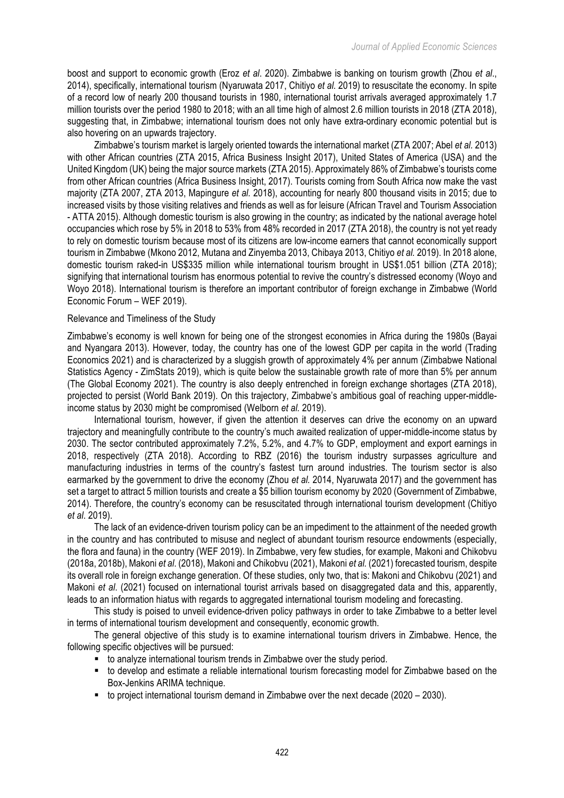boost and support to economic growth (Eroz *et al*. 2020). Zimbabwe is banking on tourism growth (Zhou *et al*., 2014), specifically, international tourism (Nyaruwata 2017, Chitiyo *et al.* 2019) to resuscitate the economy. In spite of a record low of nearly 200 thousand tourists in 1980, international tourist arrivals averaged approximately 1.7 million tourists over the period 1980 to 2018; with an all time high of almost 2.6 million tourists in 2018 (ZTA 2018), suggesting that, in Zimbabwe; international tourism does not only have extra-ordinary economic potential but is also hovering on an upwards trajectory.

Zimbabwe's tourism market is largely oriented towards the international market (ZTA 2007; Abel *et al.* 2013) with other African countries (ZTA 2015, Africa Business Insight 2017), United States of America (USA) and the United Kingdom (UK) being the major source markets (ZTA 2015). Approximately 86% of Zimbabwe's tourists come from other African countries (Africa Business Insight, 2017). Tourists coming from South Africa now make the vast majority (ZTA 2007, ZTA 2013, Mapingure *et al.* 2018), accounting for nearly 800 thousand visits in 2015; due to increased visits by those visiting relatives and friends as well as for leisure (African Travel and Tourism Association - ATTA 2015). Although domestic tourism is also growing in the country; as indicated by the national average hotel occupancies which rose by 5% in 2018 to 53% from 48% recorded in 2017 (ZTA 2018), the country is not yet ready to rely on domestic tourism because most of its citizens are low-income earners that cannot economically support tourism in Zimbabwe (Mkono 2012, Mutana and Zinyemba 2013, Chibaya 2013, Chitiyo *et al.* 2019). In 2018 alone, domestic tourism raked-in US\$335 million while international tourism brought in US\$1.051 billion (ZTA 2018); signifying that international tourism has enormous potential to revive the country's distressed economy (Woyo and Woyo 2018). International tourism is therefore an important contributor of foreign exchange in Zimbabwe (World Economic Forum – WEF 2019).

#### Relevance and Timeliness of the Study

Zimbabwe's economy is well known for being one of the strongest economies in Africa during the 1980s (Bayai and Nyangara 2013). However, today, the country has one of the lowest GDP per capita in the world (Trading Economics 2021) and is characterized by a sluggish growth of approximately 4% per annum (Zimbabwe National Statistics Agency - ZimStats 2019), which is quite below the sustainable growth rate of more than 5% per annum (The Global Economy 2021). The country is also deeply entrenched in foreign exchange shortages (ZTA 2018), projected to persist (World Bank 2019). On this trajectory, Zimbabwe's ambitious goal of reaching upper-middleincome status by 2030 might be compromised (Welborn *et al.* 2019).

International tourism, however, if given the attention it deserves can drive the economy on an upward trajectory and meaningfully contribute to the country's much awaited realization of upper-middle-income status by 2030. The sector contributed approximately 7.2%, 5.2%, and 4.7% to GDP, employment and export earnings in 2018, respectively (ZTA 2018). According to RBZ (2016) the tourism industry surpasses agriculture and manufacturing industries in terms of the country's fastest turn around industries. The tourism sector is also earmarked by the government to drive the economy (Zhou *et al.* 2014, Nyaruwata 2017) and the government has set a target to attract 5 million tourists and create a \$5 billion tourism economy by 2020 (Government of Zimbabwe, 2014). Therefore, the country's economy can be resuscitated through international tourism development (Chitiyo *et al*. 2019).

The lack of an evidence-driven tourism policy can be an impediment to the attainment of the needed growth in the country and has contributed to misuse and neglect of abundant tourism resource endowments (especially, the flora and fauna) in the country (WEF 2019). In Zimbabwe, very few studies, for example, Makoni and Chikobvu (2018a, 2018b), Makoni *et al*. (2018), Makoni and Chikobvu (2021), Makoni *et al.* (2021) forecasted tourism, despite its overall role in foreign exchange generation. Of these studies, only two, that is: Makoni and Chikobvu (2021) and Makoni *et al*. (2021) focused on international tourist arrivals based on disaggregated data and this, apparently, leads to an information hiatus with regards to aggregated international tourism modeling and forecasting.

This study is poised to unveil evidence-driven policy pathways in order to take Zimbabwe to a better level in terms of international tourism development and consequently, economic growth.

The general objective of this study is to examine international tourism drivers in Zimbabwe. Hence, the following specific objectives will be pursued:

- to analyze international tourism trends in Zimbabwe over the study period.
- to develop and estimate a reliable international tourism forecasting model for Zimbabwe based on the Box-Jenkins ARIMA technique.
- to project international tourism demand in Zimbabwe over the next decade (2020 2030).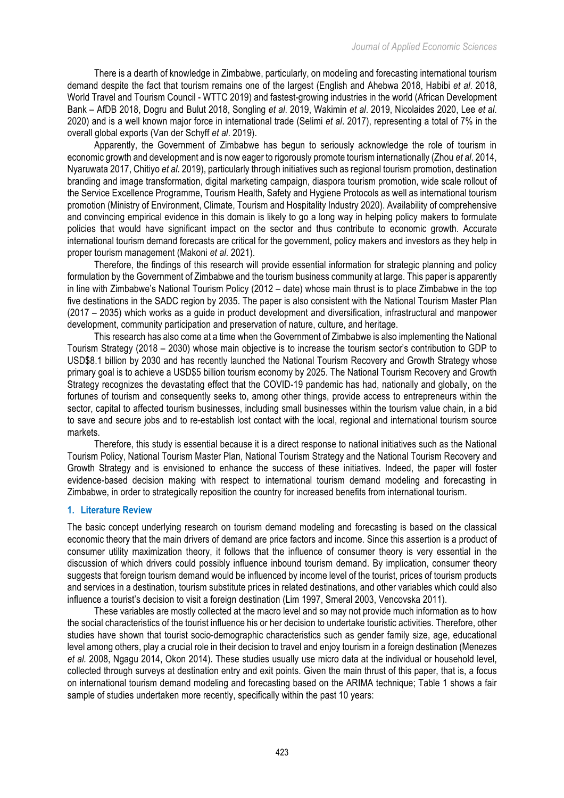There is a dearth of knowledge in Zimbabwe, particularly, on modeling and forecasting international tourism demand despite the fact that tourism remains one of the largest (English and Ahebwa 2018, Habibi *et al*. 2018, World Travel and Tourism Council - WTTC 2019) and fastest-growing industries in the world (African Development Bank – AfDB 2018, Dogru and Bulut 2018, Songling *et al*. 2019, Wakimin *et al*. 2019, Nicolaides 2020, Lee *et al*. 2020) and is a well known major force in international trade (Selimi *et al*. 2017), representing a total of 7% in the overall global exports (Van der Schyff *et al*. 2019).

Apparently, the Government of Zimbabwe has begun to seriously acknowledge the role of tourism in economic growth and development and is now eager to rigorously promote tourism internationally (Zhou *et al*. 2014, Nyaruwata 2017, Chitiyo *et al*. 2019), particularly through initiatives such as regional tourism promotion, destination branding and image transformation, digital marketing campaign, diaspora tourism promotion, wide scale rollout of the Service Excellence Programme, Tourism Health, Safety and Hygiene Protocols as well as international tourism promotion (Ministry of Environment, Climate, Tourism and Hospitality Industry 2020). Availability of comprehensive and convincing empirical evidence in this domain is likely to go a long way in helping policy makers to formulate policies that would have significant impact on the sector and thus contribute to economic growth. Accurate international tourism demand forecasts are critical for the government, policy makers and investors as they help in proper tourism management (Makoni *et al*. 2021).

Therefore, the findings of this research will provide essential information for strategic planning and policy formulation by the Government of Zimbabwe and the tourism business community at large. This paper is apparently in line with Zimbabwe's National Tourism Policy (2012 – date) whose main thrust is to place Zimbabwe in the top five destinations in the SADC region by 2035. The paper is also consistent with the National Tourism Master Plan (2017 – 2035) which works as a guide in product development and diversification, infrastructural and manpower development, community participation and preservation of nature, culture, and heritage.

This research has also come at a time when the Government of Zimbabwe is also implementing the National Tourism Strategy (2018 – 2030) whose main objective is to increase the tourism sector's contribution to GDP to USD\$8.1 billion by 2030 and has recently launched the National Tourism Recovery and Growth Strategy whose primary goal is to achieve a USD\$5 billion tourism economy by 2025. The National Tourism Recovery and Growth Strategy recognizes the devastating effect that the COVID-19 pandemic has had, nationally and globally, on the fortunes of tourism and consequently seeks to, among other things, provide access to entrepreneurs within the sector, capital to affected tourism businesses, including small businesses within the tourism value chain, in a bid to save and secure jobs and to re-establish lost contact with the local, regional and international tourism source markets.

Therefore, this study is essential because it is a direct response to national initiatives such as the National Tourism Policy, National Tourism Master Plan, National Tourism Strategy and the National Tourism Recovery and Growth Strategy and is envisioned to enhance the success of these initiatives. Indeed, the paper will foster evidence-based decision making with respect to international tourism demand modeling and forecasting in Zimbabwe, in order to strategically reposition the country for increased benefits from international tourism.

### **1. Literature Review**

The basic concept underlying research on tourism demand modeling and forecasting is based on the classical economic theory that the main drivers of demand are price factors and income. Since this assertion is a product of consumer utility maximization theory, it follows that the influence of consumer theory is very essential in the discussion of which drivers could possibly influence inbound tourism demand. By implication, consumer theory suggests that foreign tourism demand would be influenced by income level of the tourist, prices of tourism products and services in a destination, tourism substitute prices in related destinations, and other variables which could also influence a tourist's decision to visit a foreign destination (Lim 1997, Smeral 2003, Vencovska 2011).

These variables are mostly collected at the macro level and so may not provide much information as to how the social characteristics of the tourist influence his or her decision to undertake touristic activities. Therefore, other studies have shown that tourist socio-demographic characteristics such as gender family size, age, educational level among others, play a crucial role in their decision to travel and enjoy tourism in a foreign destination (Menezes *et al.* 2008, Ngagu 2014, Okon 2014). These studies usually use micro data at the individual or household level, collected through surveys at destination entry and exit points. Given the main thrust of this paper, that is, a focus on international tourism demand modeling and forecasting based on the ARIMA technique; Table 1 shows a fair sample of studies undertaken more recently, specifically within the past 10 years: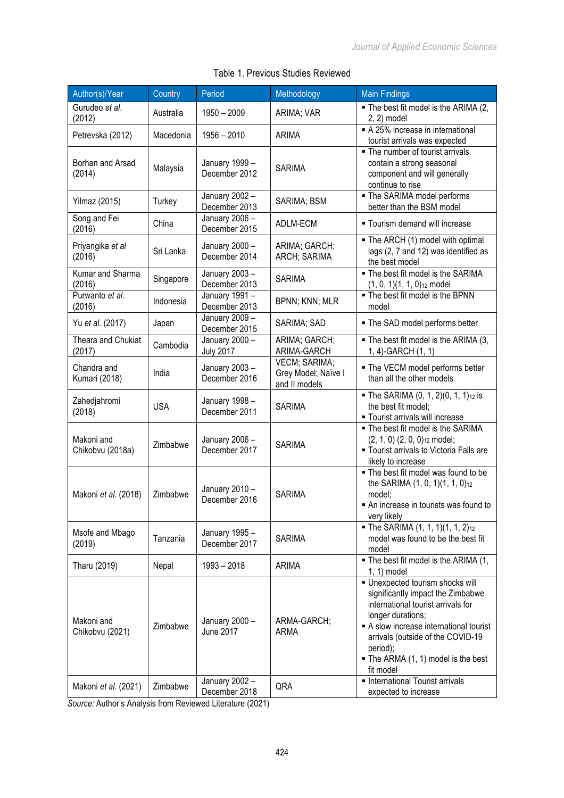| Author(s)/Year                 | Country    | Period                             | Methodology                                           | <b>Main Findings</b>                                                                                                                                                                                                                                                         |
|--------------------------------|------------|------------------------------------|-------------------------------------------------------|------------------------------------------------------------------------------------------------------------------------------------------------------------------------------------------------------------------------------------------------------------------------------|
| Gurudeo et al.<br>(2012)       | Australia  | $1950 - 2009$                      | ARIMA; VAR                                            | . The best fit model is the ARIMA (2,<br>2, 2) model                                                                                                                                                                                                                         |
| Petrevska (2012)               | Macedonia  | $1956 - 2010$                      | <b>ARIMA</b>                                          | A 25% increase in international<br>tourist arrivals was expected                                                                                                                                                                                                             |
| Borhan and Arsad<br>(2014)     | Malaysia   | January 1999 -<br>December 2012    | <b>SARIMA</b>                                         | • The number of tourist arrivals<br>contain a strong seasonal<br>component and will generally<br>continue to rise                                                                                                                                                            |
| Yilmaz (2015)                  | Turkey     | January 2002 -<br>December 2013    | SARIMA; BSM                                           | • The SARIMA model performs<br>better than the BSM model                                                                                                                                                                                                                     |
| Song and Fei<br>(2016)         | China      | January 2006 -<br>December 2015    | ADLM-ECM                                              | " Tourism demand will increase                                                                                                                                                                                                                                               |
| Priyangika et al<br>(2016)     | Sri Lanka  | January 2000 -<br>December 2014    | ARIMA; GARCH;<br>ARCH; SARIMA                         | • The ARCH (1) model with optimal<br>lags (2, 7 and 12) was identified as<br>the best model                                                                                                                                                                                  |
| Kumar and Sharma<br>(2016)     | Singapore  | January 2003-<br>December 2013     | <b>SARIMA</b>                                         | . The best fit model is the SARIMA<br>$(1, 0, 1)(1, 1, 0)_{12}$ model                                                                                                                                                                                                        |
| Purwanto et al.<br>(2016)      | Indonesia  | January 1991 -<br>December 2013    | BPNN; KNN; MLR                                        | - The best fit model is the BPNN<br>model                                                                                                                                                                                                                                    |
| Yu et al. (2017)               | Japan      | January 2009 -<br>December 2015    | SARIMA; SAD                                           | . The SAD model performs better                                                                                                                                                                                                                                              |
| Theara and Chukiat<br>(2017)   | Cambodia   | January 2000 -<br><b>July 2017</b> | ARIMA; GARCH;<br>ARIMA-GARCH                          | . The best fit model is the ARIMA (3,<br>1, 4)-GARCH (1, 1)                                                                                                                                                                                                                  |
| Chandra and<br>Kumari (2018)   | India      | January 2003-<br>December 2016     | VECM; SARIMA;<br>Grey Model; Naïve I<br>and II models | . The VECM model performs better<br>than all the other models                                                                                                                                                                                                                |
| Zahedjahromi<br>(2018)         | <b>USA</b> | January 1998 -<br>December 2011    | <b>SARIMA</b>                                         | The SARIMA (0, 1, 2)(0, 1, 1) <sub>12</sub> is<br>the best fit model;<br>" Tourist arrivals will increase                                                                                                                                                                    |
| Makoni and<br>Chikobvu (2018a) | Zimbabwe   | January 2006 -<br>December 2017    | <b>SARIMA</b>                                         | . The best fit model is the SARIMA<br>$(2, 1, 0)$ $(2, 0, 0)$ <sup>12</sup> model;<br><b>Tourist arrivals to Victoria Falls are</b><br>likely to increase                                                                                                                    |
| Makoni et al. (2018)           | Zimbabwe   | January 2010 -<br>December 2016    | <b>SARIMA</b>                                         | . The best fit model was found to be<br>the SARIMA (1, 0, 1)(1, 1, 0) <sub>12</sub><br>model;<br>An increase in tourists was found to<br>very likely                                                                                                                         |
| Msofe and Mbago<br>(2019)      | Tanzania   | January 1995-<br>December 2017     | <b>SARIMA</b>                                         | • The SARIMA $(1, 1, 1)(1, 1, 2)_{12}$<br>model was found to be the best fit<br>model                                                                                                                                                                                        |
| Tharu (2019)                   | Nepal      | $1993 - 2018$                      | <b>ARIMA</b>                                          | . The best fit model is the ARIMA (1,<br>$1, 1$ ) model                                                                                                                                                                                                                      |
| Makoni and<br>Chikobvu (2021)  | Zimbabwe   | January 2000 -<br><b>June 2017</b> | ARMA-GARCH;<br><b>ARMA</b>                            | · Unexpected tourism shocks will<br>significantly impact the Zimbabwe<br>international tourist arrivals for<br>longer durations;<br>A slow increase international tourist<br>arrivals (outside of the COVID-19<br>period);<br>The ARMA (1, 1) model is the best<br>fit model |
| Makoni et al. (2021)           | Zimbabwe   | January 2002 -<br>December 2018    | QRA                                                   | • International Tourist arrivals<br>expected to increase                                                                                                                                                                                                                     |

## Table 1. Previous Studies Reviewed

*Source:* Author's Analysis from Reviewed Literature (2021)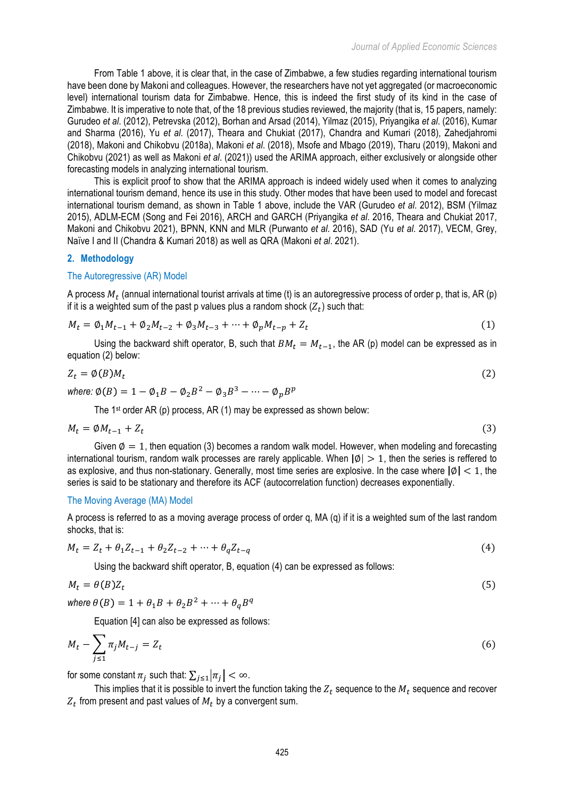From Table 1 above, it is clear that, in the case of Zimbabwe, a few studies regarding international tourism have been done by Makoni and colleagues. However, the researchers have not yet aggregated (or macroeconomic level) international tourism data for Zimbabwe. Hence, this is indeed the first study of its kind in the case of Zimbabwe. It is imperative to note that, of the 18 previous studies reviewed, the majority (that is, 15 papers, namely: Gurudeo *et al*. (2012), Petrevska (2012), Borhan and Arsad (2014), Yilmaz (2015), Priyangika *et al*. (2016), Kumar and Sharma (2016), Yu *et al*. (2017), Theara and Chukiat (2017), Chandra and Kumari (2018), Zahedjahromi (2018), Makoni and Chikobvu (2018a), Makoni *et al*. (2018), Msofe and Mbago (2019), Tharu (2019), Makoni and Chikobvu (2021) as well as Makoni *et al*. (2021)) used the ARIMA approach, either exclusively or alongside other forecasting models in analyzing international tourism.

This is explicit proof to show that the ARIMA approach is indeed widely used when it comes to analyzing international tourism demand, hence its use in this study. Other modes that have been used to model and forecast international tourism demand, as shown in Table 1 above, include the VAR (Gurudeo *et al*. 2012), BSM (Yilmaz 2015), ADLM-ECM (Song and Fei 2016), ARCH and GARCH (Priyangika *et al*. 2016, Theara and Chukiat 2017, Makoni and Chikobvu 2021), BPNN, KNN and MLR (Purwanto *et al*. 2016), SAD (Yu *et al*. 2017), VECM, Grey, Naïve I and II (Chandra & Kumari 2018) as well as QRA (Makoni *et al*. 2021).

#### **2. Methodology**

#### The Autoregressive (AR) Model

A process  $M_t$  (annual international tourist arrivals at time (t) is an autoregressive process of order p, that is, AR (p) if it is a weighted sum of the past p values plus a random shock  $(Z_t)$  such that:

$$
M_t = \phi_1 M_{t-1} + \phi_2 M_{t-2} + \phi_3 M_{t-3} + \dots + \phi_p M_{t-p} + Z_t
$$
\n(1)

Using the backward shift operator, B, such that  $BM_t = M_{t-1}$ , the AR (p) model can be expressed as in equation (2) below:

$$
Z_t = \emptyset(B)M_t
$$
  
where:  $\emptyset(B) = 1 - \emptyset_1 B - \emptyset_2 B^2 - \emptyset_3 B^3 - \dots - \emptyset_n B^p$  (2)

The 1<sup>st</sup> order AR (p) process, AR (1) may be expressed as shown below:

$$
M_t = \phi M_{t-1} + Z_t \tag{3}
$$

Given  $\emptyset = 1$ , then equation (3) becomes a random walk model. However, when modeling and forecasting international tourism, random walk processes are rarely applicable. When  $\lceil \emptyset \rceil > 1$ , then the series is reffered to as explosive, and thus non-stationary. Generally, most time series are explosive. In the case where  $|\phi| < 1$ , the series is said to be stationary and therefore its ACF (autocorrelation function) decreases exponentially.

#### The Moving Average (MA) Model

A process is referred to as a moving average process of order q, MA (q) if it is a weighted sum of the last random shocks, that is:

$$
M_t = Z_t + \theta_1 Z_{t-1} + \theta_2 Z_{t-2} + \dots + \theta_q Z_{t-q}
$$
\n<sup>(4)</sup>

Using the backward shift operator, B, equation (4) can be expressed as follows:

$$
M_t = \theta(B)Z_t \tag{5}
$$

where  $\theta(B) = 1 + \theta_1 B + \theta_2 B^2 + \cdots + \theta_a B^a$ 

Equation [4] can also be expressed as follows:

$$
M_t - \sum_{j \le 1} \pi_j M_{t-j} = Z_t \tag{6}
$$

for some constant  $\pi_i$  such that:  $\sum_{i \leq 1} |\pi_i| < \infty$ .

This implies that it is possible to invert the function taking the  $Z_t$  sequence to the  $M_t$  sequence and recover  $Z_t$  from present and past values of  $M_t$  by a convergent sum.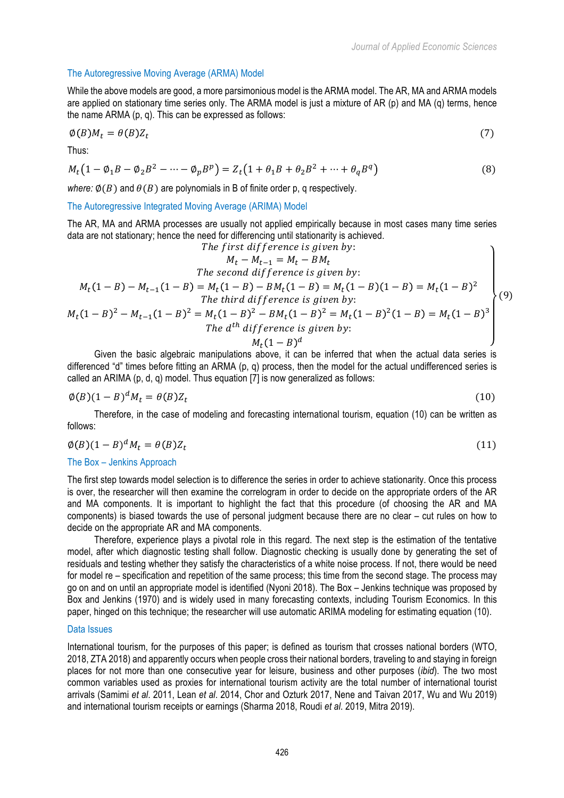#### The Autoregressive Moving Average (ARMA) Model

While the above models are good, a more parsimonious model is the ARMA model. The AR, MA and ARMA models are applied on stationary time series only. The ARMA model is just a mixture of AR (p) and MA (q) terms, hence the name ARMA (p, q). This can be expressed as follows:

$$
\phi(B)M_t = \theta(B)Z_t \tag{7}
$$

Thus:

$$
M_t(1 - \phi_1 B - \phi_2 B^2 - \dots - \phi_p B^p) = Z_t(1 + \theta_1 B + \theta_2 B^2 + \dots + \theta_q B^q)
$$
(8)

*where:*  $\phi(B)$  and  $\theta(B)$  are polynomials in B of finite order p, q respectively.

The Autoregressive Integrated Moving Average (ARIMA) Model

The AR, MA and ARMA processes are usually not applied empirically because in most cases many time series data are not stationary; hence the need for differencing until stationarity is achieved.

The first difference is given by:  
\n
$$
M_t - M_{t-1} = M_t - BM_t
$$
\nThe second difference is given by:  
\n
$$
M_t(1 - B) - M_{t-1}(1 - B) = M_t(1 - B) - BM_t(1 - B) = M_t(1 - B) = M_t(1 - B)^2
$$
\nThe third difference is given by:  
\n
$$
M_t(1 - B)^2 - M_{t-1}(1 - B)^2 = M_t(1 - B)^2 - BM_t(1 - B)^2 = M_t(1 - B)^2(1 - B) = M_t(1 - B)^3
$$
\nThe *d*<sup>th</sup> difference is given by:  
\n
$$
M_t(1 - B)^d
$$
\n
$$
M_t(1 - B)^d
$$
\n
$$
(9)
$$

Given the basic algebraic manipulations above, it can be inferred that when the actual data series is differenced "d" times before fitting an ARMA (p, q) process, then the model for the actual undifferenced series is called an ARIMA (p, d, q) model. Thus equation [7] is now generalized as follows:

$$
\phi(B)(1-B)^d M_t = \theta(B) Z_t \tag{10}
$$

Therefore, in the case of modeling and forecasting international tourism, equation (10) can be written as follows:

$$
\phi(B)(1-B)^d M_t = \theta(B) Z_t \tag{11}
$$

## The Box – Jenkins Approach

The first step towards model selection is to difference the series in order to achieve stationarity. Once this process is over, the researcher will then examine the correlogram in order to decide on the appropriate orders of the AR and MA components. It is important to highlight the fact that this procedure (of choosing the AR and MA components) is biased towards the use of personal judgment because there are no clear – cut rules on how to decide on the appropriate AR and MA components.

Therefore, experience plays a pivotal role in this regard. The next step is the estimation of the tentative model, after which diagnostic testing shall follow. Diagnostic checking is usually done by generating the set of residuals and testing whether they satisfy the characteristics of a white noise process. If not, there would be need for model re – specification and repetition of the same process; this time from the second stage. The process may go on and on until an appropriate model is identified (Nyoni 2018). The Box – Jenkins technique was proposed by Box and Jenkins (1970) and is widely used in many forecasting contexts, including Tourism Economics. In this paper, hinged on this technique; the researcher will use automatic ARIMA modeling for estimating equation (10).

#### Data Issues

International tourism, for the purposes of this paper; is defined as tourism that crosses national borders (WTO, 2018, ZTA 2018) and apparently occurs when people cross their national borders, traveling to and staying in foreign places for not more than one consecutive year for leisure, business and other purposes (*ibid*). The two most common variables used as proxies for international tourism activity are the total number of international tourist arrivals (Samimi *et al*. 2011, Lean *et al*. 2014, Chor and Ozturk 2017, Nene and Taivan 2017, Wu and Wu 2019) and international tourism receipts or earnings (Sharma 2018, Roudi *et al*. 2019, Mitra 2019).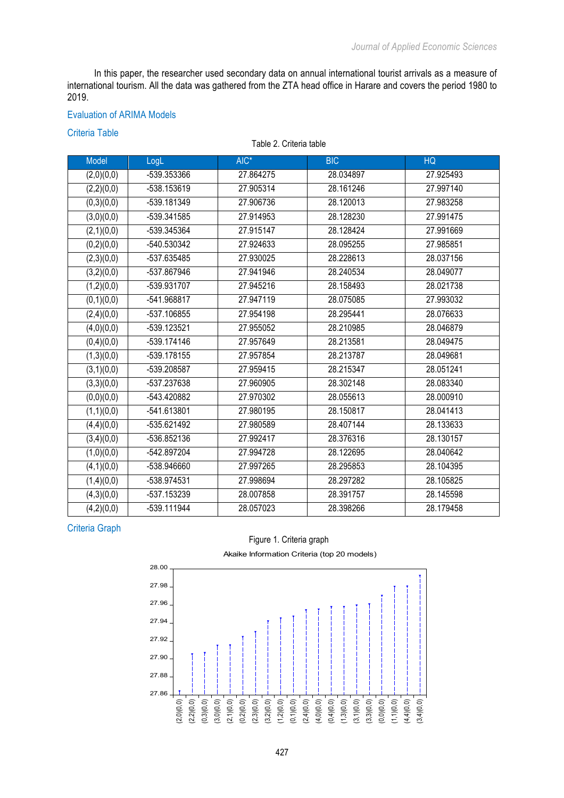In this paper, the researcher used secondary data on annual international tourist arrivals as a measure of international tourism. All the data was gathered from the ZTA head office in Harare and covers the period 1980 to 2019.

#### Evaluation of ARIMA Models

### Criteria Table

Table 2. Criteria table

| Model      | LogL        | AIC*      | <b>BIC</b> | HQ        |
|------------|-------------|-----------|------------|-----------|
| (2,0)(0,0) | -539.353366 | 27.864275 | 28.034897  | 27.925493 |
| (2,2)(0,0) | -538.153619 | 27.905314 | 28.161246  | 27.997140 |
| (0,3)(0,0) | -539.181349 | 27.906736 | 28.120013  | 27.983258 |
| (3,0)(0,0) | -539.341585 | 27.914953 | 28.128230  | 27.991475 |
| (2,1)(0,0) | -539.345364 | 27.915147 | 28.128424  | 27.991669 |
| (0,2)(0,0) | -540.530342 | 27.924633 | 28.095255  | 27.985851 |
| (2,3)(0,0) | -537.635485 | 27.930025 | 28.228613  | 28.037156 |
| (3,2)(0,0) | -537.867946 | 27.941946 | 28.240534  | 28.049077 |
| (1,2)(0,0) | -539.931707 | 27.945216 | 28.158493  | 28.021738 |
| (0,1)(0,0) | -541.968817 | 27.947119 | 28.075085  | 27.993032 |
| (2,4)(0,0) | -537.106855 | 27.954198 | 28.295441  | 28.076633 |
| (4,0)(0,0) | -539.123521 | 27.955052 | 28.210985  | 28.046879 |
| (0,4)(0,0) | -539.174146 | 27.957649 | 28.213581  | 28.049475 |
| (1,3)(0,0) | -539.178155 | 27.957854 | 28.213787  | 28.049681 |
| (3,1)(0,0) | -539.208587 | 27.959415 | 28.215347  | 28.051241 |
| (3,3)(0,0) | -537.237638 | 27.960905 | 28.302148  | 28.083340 |
| (0,0)(0,0) | -543.420882 | 27.970302 | 28.055613  | 28.000910 |
| (1,1)(0,0) | -541.613801 | 27.980195 | 28.150817  | 28.041413 |
| (4,4)(0,0) | -535.621492 | 27.980589 | 28.407144  | 28.133633 |
| (3,4)(0,0) | -536.852136 | 27.992417 | 28.376316  | 28.130157 |
| (1,0)(0,0) | -542.897204 | 27.994728 | 28.122695  | 28.040642 |
| (4,1)(0,0) | -538.946660 | 27.997265 | 28.295853  | 28.104395 |
| (1,4)(0,0) | -538.974531 | 27.998694 | 28.297282  | 28.105825 |
| (4,3)(0,0) | -537.153239 | 28.007858 | 28.391757  | 28.145598 |
| (4,2)(0,0) | -539.111944 | 28.057023 | 28.398266  | 28.179458 |

# Criteria Graph

## Figure 1. Criteria graph

Akaike Information Criteria (top 20 models)

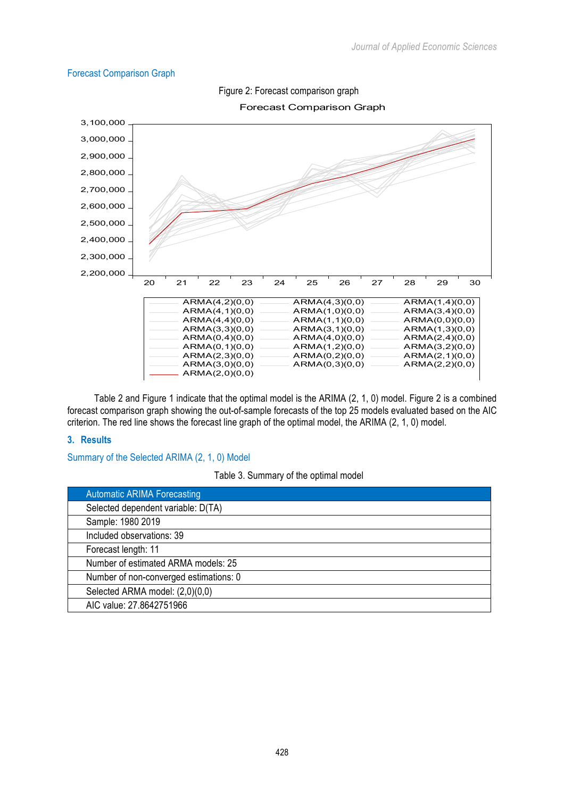## Forecast Comparison Graph



Figure 2: Forecast comparison graph

Forecast Comparison Graph

Table 2 and Figure 1 indicate that the optimal model is the ARIMA (2, 1, 0) model. Figure 2 is a combined forecast comparison graph showing the out-of-sample forecasts of the top 25 models evaluated based on the AIC criterion. The red line shows the forecast line graph of the optimal model, the ARIMA (2, 1, 0) model.

### **3. Results**

Summary of the Selected ARIMA (2, 1, 0) Model

Table 3. Summary of the optimal model

| <b>Automatic ARIMA Forecasting</b>     |
|----------------------------------------|
| Selected dependent variable: D(TA)     |
| Sample: 1980 2019                      |
| Included observations: 39              |
| Forecast length: 11                    |
| Number of estimated ARMA models: 25    |
| Number of non-converged estimations: 0 |
| Selected ARMA model: (2,0)(0,0)        |
| AIC value: 27.8642751966               |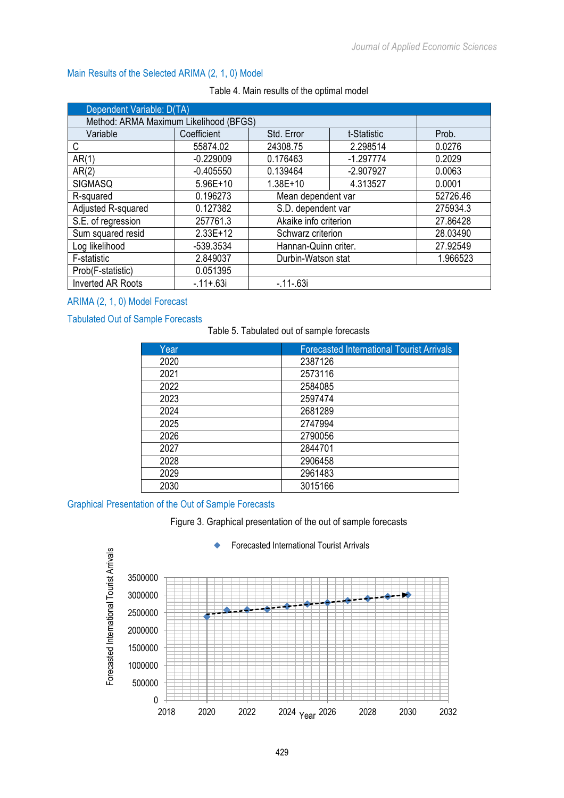## Main Results of the Selected ARIMA (2, 1, 0) Model

| Dependent Variable: D(TA)              |             |                       |             |          |
|----------------------------------------|-------------|-----------------------|-------------|----------|
| Method: ARMA Maximum Likelihood (BFGS) |             |                       |             |          |
| Variable                               | Coefficient | Std. Error            | t-Statistic | Prob.    |
| C                                      | 55874.02    | 24308.75              | 2.298514    | 0.0276   |
| AR(1)                                  | $-0.229009$ | 0.176463              | $-1.297774$ | 0.2029   |
| AR(2)                                  | $-0.405550$ | 0.139464              | $-2.907927$ | 0.0063   |
| SIGMASQ                                | $5.96E+10$  | $1.38E + 10$          | 4.313527    | 0.0001   |
| R-squared                              | 0.196273    | Mean dependent var    |             | 52726.46 |
| Adjusted R-squared                     | 0.127382    | S.D. dependent var    |             | 275934.3 |
| S.E. of regression                     | 257761.3    | Akaike info criterion |             | 27.86428 |
| Sum squared resid                      | $2.33E+12$  | Schwarz criterion     |             | 28.03490 |
| Log likelihood                         | -539.3534   | Hannan-Quinn criter.  |             | 27.92549 |
| F-statistic                            | 2.849037    | Durbin-Watson stat    |             | 1.966523 |
| Prob(F-statistic)                      | 0.051395    |                       |             |          |
| <b>Inverted AR Roots</b>               | $-11 + 63i$ | $-11 - 63i$           |             |          |

#### Table 4. Main results of the optimal model

## ARIMA (2, 1, 0) Model Forecast

### Tabulated Out of Sample Forecasts

# Table 5. Tabulated out of sample forecasts

| Year | <b>Forecasted International Tourist Arrivals</b> |
|------|--------------------------------------------------|
| 2020 | 2387126                                          |
| 2021 | 2573116                                          |
| 2022 | 2584085                                          |
| 2023 | 2597474                                          |
| 2024 | 2681289                                          |
| 2025 | 2747994                                          |
| 2026 | 2790056                                          |
| 2027 | 2844701                                          |
| 2028 | 2906458                                          |
| 2029 | 2961483                                          |
| 2030 | 3015166                                          |

## Graphical Presentation of the Out of Sample Forecasts

Figure 3. Graphical presentation of the out of sample forecasts



#### Forecasted International Tourist Arrivals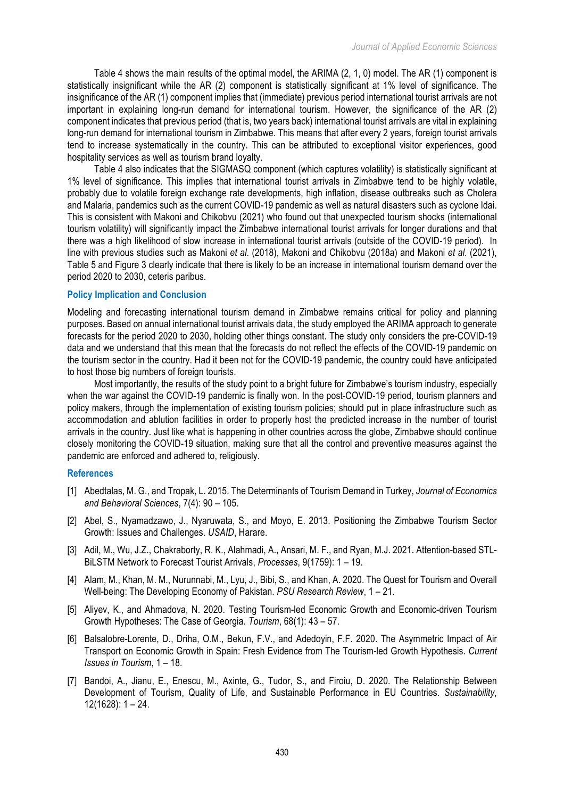Table 4 shows the main results of the optimal model, the ARIMA (2, 1, 0) model. The AR (1) component is statistically insignificant while the AR (2) component is statistically significant at 1% level of significance. The insignificance of the AR (1) component implies that (immediate) previous period international tourist arrivals are not important in explaining long-run demand for international tourism. However, the significance of the AR (2) component indicates that previous period (that is, two years back) international tourist arrivals are vital in explaining long-run demand for international tourism in Zimbabwe. This means that after every 2 years, foreign tourist arrivals tend to increase systematically in the country. This can be attributed to exceptional visitor experiences, good hospitality services as well as tourism brand loyalty.

Table 4 also indicates that the SIGMASQ component (which captures volatility) is statistically significant at 1% level of significance. This implies that international tourist arrivals in Zimbabwe tend to be highly volatile, probably due to volatile foreign exchange rate developments, high inflation, disease outbreaks such as Cholera and Malaria, pandemics such as the current COVID-19 pandemic as well as natural disasters such as cyclone Idai. This is consistent with Makoni and Chikobvu (2021) who found out that unexpected tourism shocks (international tourism volatility) will significantly impact the Zimbabwe international tourist arrivals for longer durations and that there was a high likelihood of slow increase in international tourist arrivals (outside of the COVID-19 period). In line with previous studies such as Makoni *et al*. (2018), Makoni and Chikobvu (2018a) and Makoni *et al*. (2021), Table 5 and Figure 3 clearly indicate that there is likely to be an increase in international tourism demand over the period 2020 to 2030, ceteris paribus.

#### **Policy Implication and Conclusion**

Modeling and forecasting international tourism demand in Zimbabwe remains critical for policy and planning purposes. Based on annual international tourist arrivals data, the study employed the ARIMA approach to generate forecasts for the period 2020 to 2030, holding other things constant. The study only considers the pre-COVID-19 data and we understand that this mean that the forecasts do not reflect the effects of the COVID-19 pandemic on the tourism sector in the country. Had it been not for the COVID-19 pandemic, the country could have anticipated to host those big numbers of foreign tourists.

Most importantly, the results of the study point to a bright future for Zimbabwe's tourism industry, especially when the war against the COVID-19 pandemic is finally won. In the post-COVID-19 period, tourism planners and policy makers, through the implementation of existing tourism policies; should put in place infrastructure such as accommodation and ablution facilities in order to properly host the predicted increase in the number of tourist arrivals in the country. Just like what is happening in other countries across the globe, Zimbabwe should continue closely monitoring the COVID-19 situation, making sure that all the control and preventive measures against the pandemic are enforced and adhered to, religiously.

### **References**

- [1] Abedtalas, M. G., and Tropak, L. 2015. The Determinants of Tourism Demand in Turkey, *Journal of Economics and Behavioral Sciences*, 7(4): 90 – 105.
- [2] Abel, S., Nyamadzawo, J., Nyaruwata, S., and Moyo, E. 2013. Positioning the Zimbabwe Tourism Sector Growth: Issues and Challenges. *USAID*, Harare.
- [3] Adil, M., Wu, J.Z., Chakraborty, R. K., Alahmadi, A., Ansari, M. F., and Ryan, M.J. 2021. Attention-based STL-BiLSTM Network to Forecast Tourist Arrivals, *Processes*, 9(1759): 1 – 19.
- [4] Alam, M., Khan, M. M., Nurunnabi, M., Lyu, J., Bibi, S., and Khan, A. 2020. The Quest for Tourism and Overall Well-being: The Developing Economy of Pakistan. *PSU Research Review*, 1 – 21.
- [5] Aliyev, K., and Ahmadova, N. 2020. Testing Tourism-led Economic Growth and Economic-driven Tourism Growth Hypotheses: The Case of Georgia. *Tourism*, 68(1): 43 – 57.
- [6] Balsalobre-Lorente, D., Driha, O.M., Bekun, F.V., and Adedoyin, F.F. 2020. The Asymmetric Impact of Air Transport on Economic Growth in Spain: Fresh Evidence from The Tourism-led Growth Hypothesis. *Current Issues in Tourism*, 1 – 18.
- [7] Bandoi, A., Jianu, E., Enescu, M., Axinte, G., Tudor, S., and Firoiu, D. 2020. The Relationship Between Development of Tourism, Quality of Life, and Sustainable Performance in EU Countries. *Sustainability*, 12(1628): 1 – 24.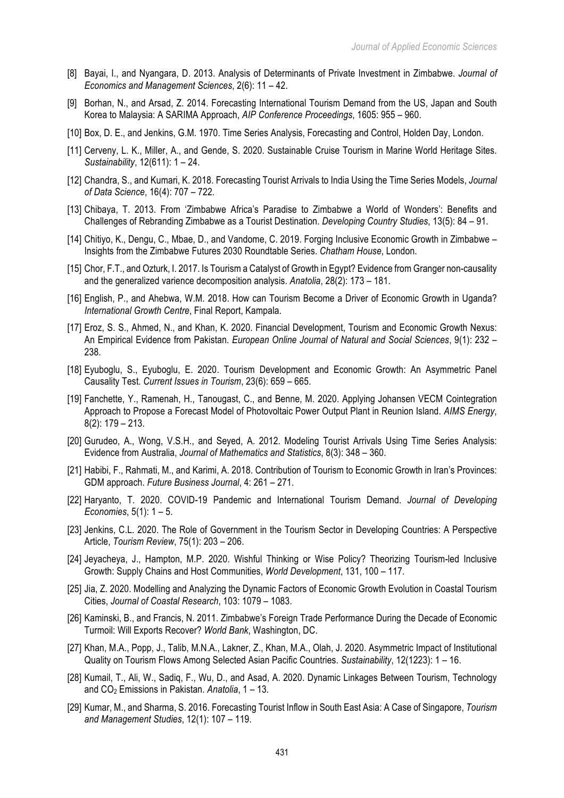- [8] Bayai, I., and Nyangara, D. 2013. Analysis of Determinants of Private Investment in Zimbabwe. *Journal of Economics and Management Sciences*, 2(6): 11 – 42.
- [9] Borhan, N., and Arsad, Z. 2014. Forecasting International Tourism Demand from the US, Japan and South Korea to Malaysia: A SARIMA Approach, *AIP Conference Proceedings*, 1605: 955 – 960.
- [10] Box, D. E., and Jenkins, G.M. 1970. Time Series Analysis, Forecasting and Control, Holden Day, London.
- [11] Cerveny, L. K., Miller, A., and Gende, S. 2020. Sustainable Cruise Tourism in Marine World Heritage Sites. *Sustainability*, 12(611): 1 – 24.
- [12] Chandra, S., and Kumari, K. 2018. Forecasting Tourist Arrivals to India Using the Time Series Models, *Journal of Data Science*, 16(4): 707 – 722.
- [13] Chibaya, T. 2013. From 'Zimbabwe Africa's Paradise to Zimbabwe a World of Wonders': Benefits and Challenges of Rebranding Zimbabwe as a Tourist Destination. *Developing Country Studies*, 13(5): 84 – 91.
- [14] Chitiyo, K., Dengu, C., Mbae, D., and Vandome, C. 2019. Forging Inclusive Economic Growth in Zimbabwe Insights from the Zimbabwe Futures 2030 Roundtable Series. *Chatham House*, London.
- [15] Chor, F.T., and Ozturk, I. 2017. Is Tourism a Catalyst of Growth in Egypt? Evidence from Granger non-causality and the generalized varience decomposition analysis. *Anatolia*, 28(2): 173 – 181.
- [16] English, P., and Ahebwa, W.M. 2018. How can Tourism Become a Driver of Economic Growth in Uganda? *International Growth Centre*, Final Report, Kampala.
- [17] Eroz, S. S., Ahmed, N., and Khan, K. 2020. Financial Development, Tourism and Economic Growth Nexus: An Empirical Evidence from Pakistan. *European Online Journal of Natural and Social Sciences*, 9(1): 232 – 238.
- [18] Eyuboglu, S., Eyuboglu, E. 2020. Tourism Development and Economic Growth: An Asymmetric Panel Causality Test. *Current Issues in Tourism*, 23(6): 659 – 665.
- [19] Fanchette, Y., Ramenah, H., Tanougast, C., and Benne, M. 2020. Applying Johansen VECM Cointegration Approach to Propose a Forecast Model of Photovoltaic Power Output Plant in Reunion Island. *AIMS Energy*, 8(2): 179 – 213.
- [20] Gurudeo, A., Wong, V.S.H., and Seyed, A. 2012. Modeling Tourist Arrivals Using Time Series Analysis: Evidence from Australia, *Journal of Mathematics and Statistics*, 8(3): 348 – 360.
- [21] Habibi, F., Rahmati, M., and Karimi, A. 2018. Contribution of Tourism to Economic Growth in Iran's Provinces: GDM approach. *Future Business Journal*, 4: 261 – 271.
- [22] Haryanto, T. 2020. COVID-19 Pandemic and International Tourism Demand. *Journal of Developing Economies*, 5(1): 1 – 5.
- [23] Jenkins, C.L. 2020. The Role of Government in the Tourism Sector in Developing Countries: A Perspective Article, *Tourism Review*, 75(1): 203 – 206.
- [24] Jeyacheya, J., Hampton, M.P. 2020. Wishful Thinking or Wise Policy? Theorizing Tourism-led Inclusive Growth: Supply Chains and Host Communities, *World Development*, 131, 100 – 117.
- [25] Jia, Z. 2020. Modelling and Analyzing the Dynamic Factors of Economic Growth Evolution in Coastal Tourism Cities, *Journal of Coastal Research*, 103: 1079 – 1083.
- [26] Kaminski, B., and Francis, N. 2011. Zimbabwe's Foreign Trade Performance During the Decade of Economic Turmoil: Will Exports Recover? *World Bank*, Washington, DC.
- [27] Khan, M.A., Popp, J., Talib, M.N.A., Lakner, Z., Khan, M.A., Olah, J. 2020. Asymmetric Impact of Institutional Quality on Tourism Flows Among Selected Asian Pacific Countries. *Sustainability*, 12(1223): 1 – 16.
- [28] Kumail, T., Ali, W., Sadiq, F., Wu, D., and Asad, A. 2020. Dynamic Linkages Between Tourism, Technology and CO2 Emissions in Pakistan. *Anatolia*, 1 – 13.
- [29] Kumar, M., and Sharma, S. 2016. Forecasting Tourist Inflow in South East Asia: A Case of Singapore, *Tourism and Management Studies*, 12(1): 107 – 119.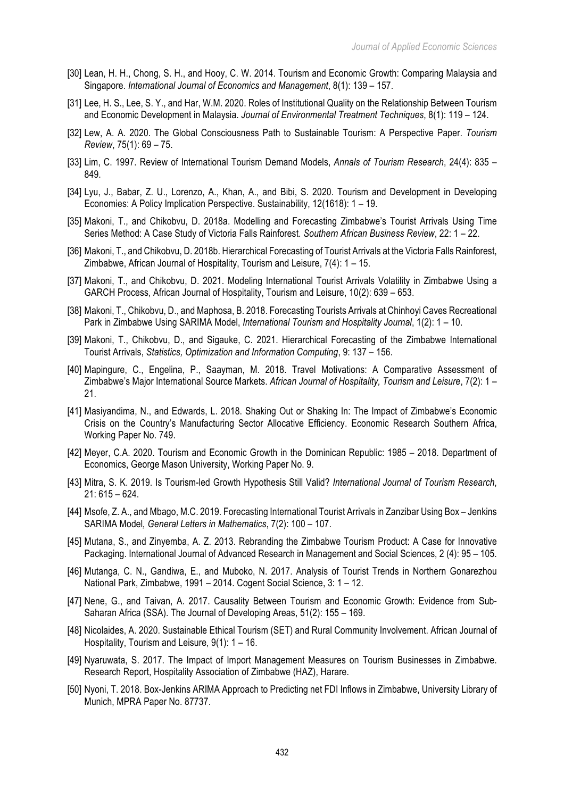- [30] Lean, H. H., Chong, S. H., and Hooy, C. W. 2014. Tourism and Economic Growth: Comparing Malaysia and Singapore. *International Journal of Economics and Management*, 8(1): 139 – 157.
- [31] Lee, H. S., Lee, S. Y., and Har, W.M. 2020. Roles of Institutional Quality on the Relationship Between Tourism and Economic Development in Malaysia. *Journal of Environmental Treatment Techniques*, 8(1): 119 – 124.
- [32] Lew, A. A. 2020. The Global Consciousness Path to Sustainable Tourism: A Perspective Paper. *Tourism Review*, 75(1): 69 – 75.
- [33] Lim, C. 1997. Review of International Tourism Demand Models, *Annals of Tourism Research*, 24(4): 835 849.
- [34] Lyu, J., Babar, Z. U., Lorenzo, A., Khan, A., and Bibi, S. 2020. Tourism and Development in Developing Economies: A Policy Implication Perspective. Sustainability, 12(1618): 1 – 19.
- [35] Makoni, T., and Chikobvu, D. 2018a. Modelling and Forecasting Zimbabwe's Tourist Arrivals Using Time Series Method: A Case Study of Victoria Falls Rainforest. *Southern African Business Review*, 22: 1 – 22.
- [36] Makoni, T., and Chikobvu, D. 2018b. Hierarchical Forecasting of Tourist Arrivals at the Victoria Falls Rainforest, Zimbabwe, African Journal of Hospitality, Tourism and Leisure, 7(4): 1 – 15.
- [37] Makoni, T., and Chikobvu, D. 2021. Modeling International Tourist Arrivals Volatility in Zimbabwe Using a GARCH Process, African Journal of Hospitality, Tourism and Leisure, 10(2): 639 – 653.
- [38] Makoni, T., Chikobvu, D., and Maphosa, B. 2018. Forecasting Tourists Arrivals at Chinhoyi Caves Recreational Park in Zimbabwe Using SARIMA Model, *International Tourism and Hospitality Journal*, 1(2): 1 – 10.
- [39] Makoni, T., Chikobvu, D., and Sigauke, C. 2021. Hierarchical Forecasting of the Zimbabwe International Tourist Arrivals, *Statistics, Optimization and Information Computing*, 9: 137 – 156.
- [40] Mapingure, C., Engelina, P., Saayman, M. 2018. Travel Motivations: A Comparative Assessment of Zimbabwe's Major International Source Markets. *African Journal of Hospitality, Tourism and Leisure*, 7(2): 1 – 21.
- [41] Masiyandima, N., and Edwards, L. 2018. Shaking Out or Shaking In: The Impact of Zimbabwe's Economic Crisis on the Country's Manufacturing Sector Allocative Efficiency. Economic Research Southern Africa, Working Paper No. 749.
- [42] Meyer, C.A. 2020. Tourism and Economic Growth in the Dominican Republic: 1985 2018. Department of Economics, George Mason University, Working Paper No. 9.
- [43] Mitra, S. K. 2019. Is Tourism-led Growth Hypothesis Still Valid? *International Journal of Tourism Research*, 21: 615 – 624.
- [44] Msofe, Z. A., and Mbago, M.C. 2019. Forecasting International Tourist Arrivals in Zanzibar Using Box Jenkins SARIMA Model*, General Letters in Mathematics*, 7(2): 100 – 107.
- [45] Mutana, S., and Zinyemba, A. Z. 2013. Rebranding the Zimbabwe Tourism Product: A Case for Innovative Packaging. International Journal of Advanced Research in Management and Social Sciences, 2 (4): 95 – 105.
- [46] Mutanga, C. N., Gandiwa, E., and Muboko, N. 2017. Analysis of Tourist Trends in Northern Gonarezhou National Park, Zimbabwe, 1991 – 2014. Cogent Social Science, 3: 1 – 12.
- [47] Nene, G., and Taivan, A. 2017. Causality Between Tourism and Economic Growth: Evidence from Sub-Saharan Africa (SSA). The Journal of Developing Areas, 51(2): 155 – 169.
- [48] Nicolaides, A. 2020. Sustainable Ethical Tourism (SET) and Rural Community Involvement. African Journal of Hospitality, Tourism and Leisure, 9(1): 1 – 16.
- [49] Nyaruwata, S. 2017. The Impact of Import Management Measures on Tourism Businesses in Zimbabwe. Research Report, Hospitality Association of Zimbabwe (HAZ), Harare.
- [50] Nyoni, T. 2018. Box-Jenkins ARIMA Approach to Predicting net FDI Inflows in Zimbabwe, University Library of Munich, MPRA Paper No. 87737.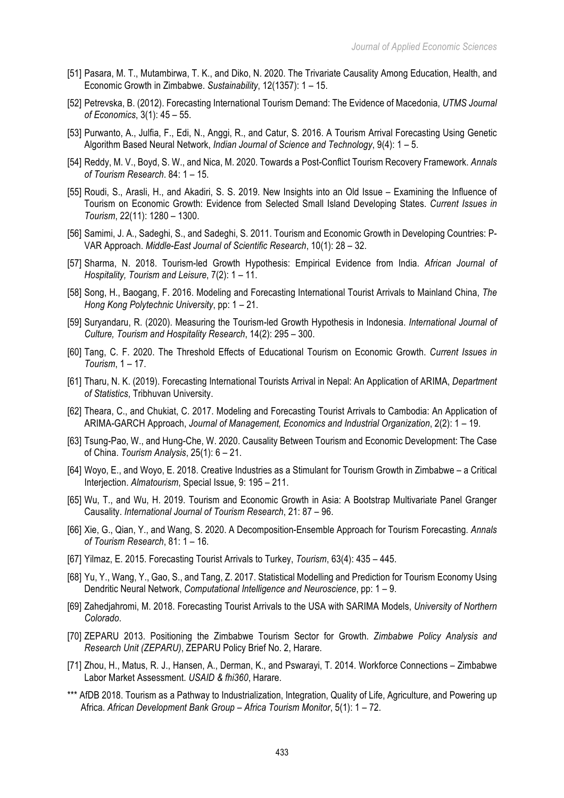- [51] Pasara, M. T., Mutambirwa, T. K., and Diko, N. 2020. The Trivariate Causality Among Education, Health, and Economic Growth in Zimbabwe. *Sustainability*, 12(1357): 1 – 15.
- [52] Petrevska, B. (2012). Forecasting International Tourism Demand: The Evidence of Macedonia, *UTMS Journal of Economics*, 3(1): 45 – 55.
- [53] Purwanto, A., Julfia, F., Edi, N., Anggi, R., and Catur, S. 2016. A Tourism Arrival Forecasting Using Genetic Algorithm Based Neural Network, *Indian Journal of Science and Technology*, 9(4): 1 – 5.
- [54] Reddy, M. V., Boyd, S. W., and Nica, M. 2020. Towards a Post-Conflict Tourism Recovery Framework. *Annals of Tourism Research*. 84: 1 – 15.
- [55] Roudi, S., Arasli, H., and Akadiri, S. S. 2019. New Insights into an Old Issue Examining the Influence of Tourism on Economic Growth: Evidence from Selected Small Island Developing States. *Current Issues in Tourism*, 22(11): 1280 – 1300.
- [56] Samimi, J. A., Sadeghi, S., and Sadeghi, S. 2011. Tourism and Economic Growth in Developing Countries: P-VAR Approach. *Middle-East Journal of Scientific Research*, 10(1): 28 – 32.
- [57] Sharma, N. 2018. Tourism-led Growth Hypothesis: Empirical Evidence from India. *African Journal of Hospitality, Tourism and Leisure*, 7(2): 1 – 11.
- [58] Song, H., Baogang, F. 2016. Modeling and Forecasting International Tourist Arrivals to Mainland China, *The Hong Kong Polytechnic University*, pp: 1 – 21.
- [59] Suryandaru, R. (2020). Measuring the Tourism-led Growth Hypothesis in Indonesia. *International Journal of Culture, Tourism and Hospitality Research*, 14(2): 295 – 300.
- [60] Tang, C. F. 2020. The Threshold Effects of Educational Tourism on Economic Growth. *Current Issues in Tourism*, 1 – 17.
- [61] Tharu, N. K. (2019). Forecasting International Tourists Arrival in Nepal: An Application of ARIMA, *Department of Statistics*, Tribhuvan University.
- [62] Theara, C., and Chukiat, C. 2017. Modeling and Forecasting Tourist Arrivals to Cambodia: An Application of ARIMA-GARCH Approach, *Journal of Management, Economics and Industrial Organization*, 2(2): 1 – 19.
- [63] Tsung-Pao, W., and Hung-Che, W. 2020. Causality Between Tourism and Economic Development: The Case of China. *Tourism Analysis*, 25(1): 6 – 21.
- [64] Woyo, E., and Woyo, E. 2018. Creative Industries as a Stimulant for Tourism Growth in Zimbabwe a Critical Interjection. *Almatourism*, Special Issue, 9: 195 – 211.
- [65] Wu, T., and Wu, H. 2019. Tourism and Economic Growth in Asia: A Bootstrap Multivariate Panel Granger Causality. *International Journal of Tourism Research*, 21: 87 – 96.
- [66] Xie, G., Qian, Y., and Wang, S. 2020. A Decomposition-Ensemble Approach for Tourism Forecasting. *Annals of Tourism Research*, 81: 1 – 16.
- [67] Yilmaz, E. 2015. Forecasting Tourist Arrivals to Turkey, *Tourism*, 63(4): 435 445.
- [68] Yu, Y., Wang, Y., Gao, S., and Tang, Z. 2017. Statistical Modelling and Prediction for Tourism Economy Using Dendritic Neural Network, *Computational Intelligence and Neuroscience*, pp: 1 – 9.
- [69] Zahedjahromi, M. 2018. Forecasting Tourist Arrivals to the USA with SARIMA Models, *University of Northern Colorado*.
- [70] ZEPARU 2013. Positioning the Zimbabwe Tourism Sector for Growth. *Zimbabwe Policy Analysis and Research Unit (ZEPARU)*, ZEPARU Policy Brief No. 2, Harare.
- [71] Zhou, H., Matus, R. J., Hansen, A., Derman, K., and Pswarayi, T. 2014. Workforce Connections Zimbabwe Labor Market Assessment. *USAID & fhi360*, Harare.
- \*\*\* AfDB 2018. Tourism as a Pathway to Industrialization, Integration, Quality of Life, Agriculture, and Powering up Africa. *African Development Bank Group – Africa Tourism Monitor*, 5(1): 1 – 72.